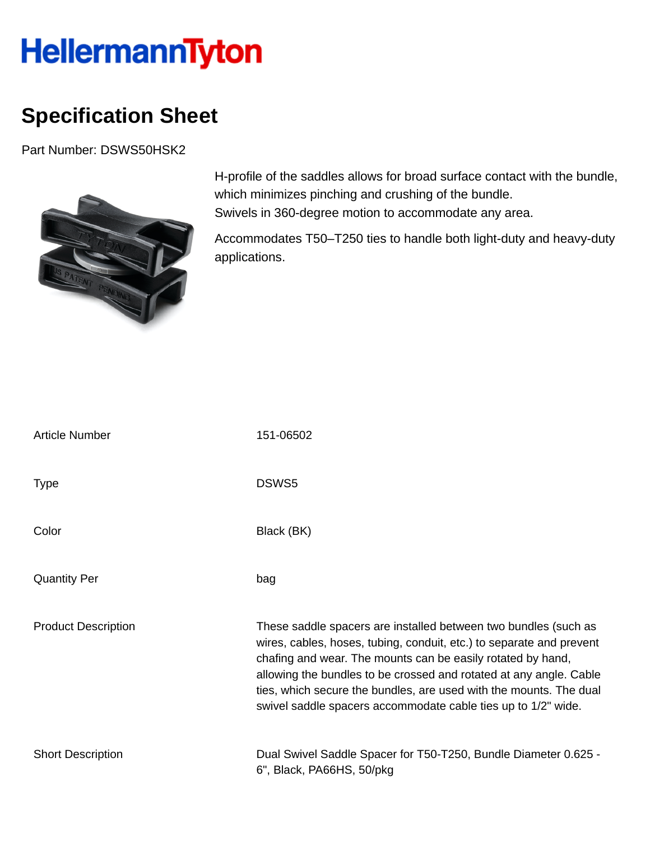## HellermannTyton

## **Specification Sheet**

Part Number: DSWS50HSK2



H-profile of the saddles allows for broad surface contact with the bundle, which minimizes pinching and crushing of the bundle. Swivels in 360-degree motion to accommodate any area.

Accommodates T50–T250 ties to handle both light-duty and heavy-duty applications.

| <b>Article Number</b>      | 151-06502                                                                                                                                                                                                                                                                                                                                                                                                           |
|----------------------------|---------------------------------------------------------------------------------------------------------------------------------------------------------------------------------------------------------------------------------------------------------------------------------------------------------------------------------------------------------------------------------------------------------------------|
| <b>Type</b>                | DSWS5                                                                                                                                                                                                                                                                                                                                                                                                               |
| Color                      | Black (BK)                                                                                                                                                                                                                                                                                                                                                                                                          |
| <b>Quantity Per</b>        | bag                                                                                                                                                                                                                                                                                                                                                                                                                 |
| <b>Product Description</b> | These saddle spacers are installed between two bundles (such as<br>wires, cables, hoses, tubing, conduit, etc.) to separate and prevent<br>chafing and wear. The mounts can be easily rotated by hand,<br>allowing the bundles to be crossed and rotated at any angle. Cable<br>ties, which secure the bundles, are used with the mounts. The dual<br>swivel saddle spacers accommodate cable ties up to 1/2" wide. |
| <b>Short Description</b>   | Dual Swivel Saddle Spacer for T50-T250, Bundle Diameter 0.625 -<br>6", Black, PA66HS, 50/pkg                                                                                                                                                                                                                                                                                                                        |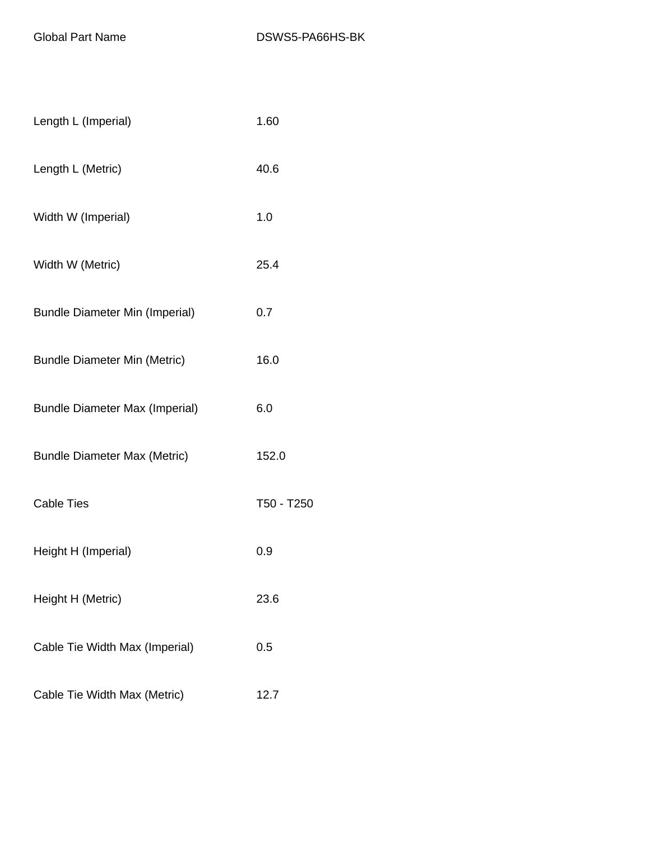| Length L (Imperial)                   | 1.60       |
|---------------------------------------|------------|
| Length L (Metric)                     | 40.6       |
| Width W (Imperial)                    | 1.0        |
| Width W (Metric)                      | 25.4       |
| <b>Bundle Diameter Min (Imperial)</b> | 0.7        |
| <b>Bundle Diameter Min (Metric)</b>   | 16.0       |
| <b>Bundle Diameter Max (Imperial)</b> | 6.0        |
| <b>Bundle Diameter Max (Metric)</b>   | 152.0      |
| <b>Cable Ties</b>                     | T50 - T250 |
| Height H (Imperial)                   | 0.9        |
| Height H (Metric)                     | 23.6       |
| Cable Tie Width Max (Imperial)        | 0.5        |
| Cable Tie Width Max (Metric)          | 12.7       |